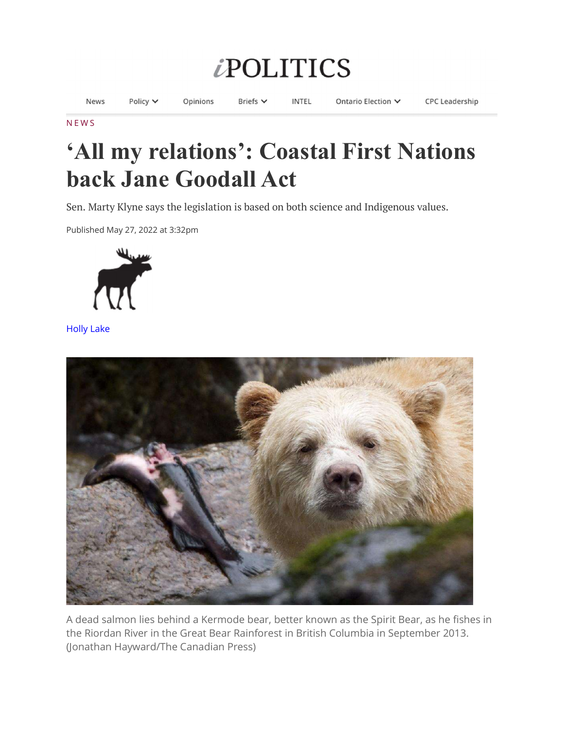## **iPOLITICS**

News Policy  $\vee$ Opinions Briefs V **INTEL** Ontario Election V **CPC Leadership** 

## N E W S

## 'All my relations': Coastal First Nations back Jane Goodall Act

Sen. Marty Klyne says the legislation is based on both science and Indigenous values.

Published May 27, 2022 at 3:32pm



Holly Lake



A dead salmon lies behind a Kermode bear, better known as the Spirit Bear, as he fishes in the Riordan River in the Great Bear Rainforest in British Columbia in September 2013. (Jonathan Hayward/The Canadian Press)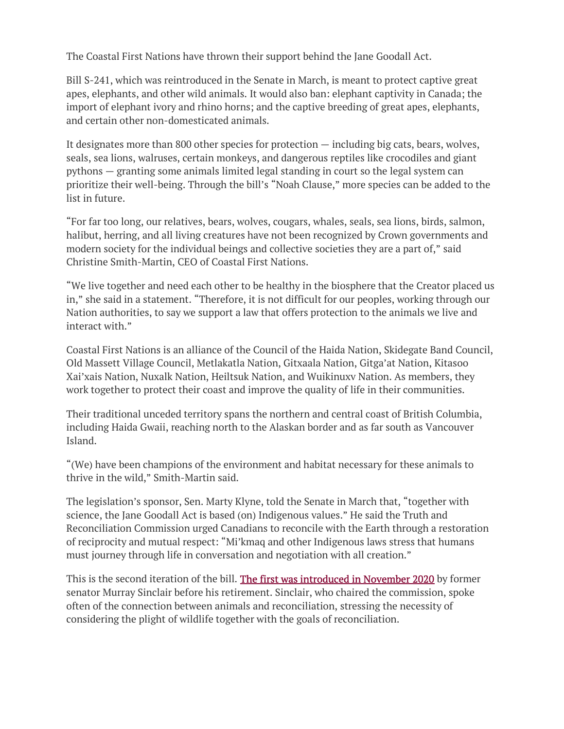The Coastal First Nations have thrown their support behind the Jane Goodall Act.

Bill S-241, which was reintroduced in the Senate in March, is meant to protect captive great apes, elephants, and other wild animals. It would also ban: elephant captivity in Canada; the import of elephant ivory and rhino horns; and the captive breeding of great apes, elephants, and certain other non-domesticated animals.

It designates more than 800 other species for protection — including big cats, bears, wolves, seals, sea lions, walruses, certain monkeys, and dangerous reptiles like crocodiles and giant pythons — granting some animals limited legal standing in court so the legal system can prioritize their well-being. Through the bill's "Noah Clause," more species can be added to the list in future.

"For far too long, our relatives, bears, wolves, cougars, whales, seals, sea lions, birds, salmon, halibut, herring, and all living creatures have not been recognized by Crown governments and modern society for the individual beings and collective societies they are a part of," said Christine Smith-Martin, CEO of Coastal First Nations.

"We live together and need each other to be healthy in the biosphere that the Creator placed us in," she said in a statement. "Therefore, it is not difficult for our peoples, working through our Nation authorities, to say we support a law that offers protection to the animals we live and interact with."

Coastal First Nations is an alliance of the Council of the Haida Nation, Skidegate Band Council, Old Massett Village Council, Metlakatla Nation, Gitxaala Nation, Gitga'at Nation, Kitasoo Xai'xais Nation, Nuxalk Nation, Heiltsuk Nation, and Wuikinuxv Nation. As members, they work together to protect their coast and improve the quality of life in their communities.

Their traditional unceded territory spans the northern and central coast of British Columbia, including Haida Gwaii, reaching north to the Alaskan border and as far south as Vancouver Island.

"(We) have been champions of the environment and habitat necessary for these animals to thrive in the wild," Smith-Martin said.

The legislation's sponsor, Sen. Marty Klyne, told the Senate in March that, "together with science, the Jane Goodall Act is based (on) Indigenous values." He said the Truth and Reconciliation Commission urged Canadians to reconcile with the Earth through a restoration of reciprocity and mutual respect: "Mi'kmaq and other Indigenous laws stress that humans must journey through life in conversation and negotiation with all creation."

This is the second iteration of the bill. The first was introduced in November 2020 by former senator Murray Sinclair before his retirement. Sinclair, who chaired the commission, spoke often of the connection between animals and reconciliation, stressing the necessity of considering the plight of wildlife together with the goals of reconciliation.